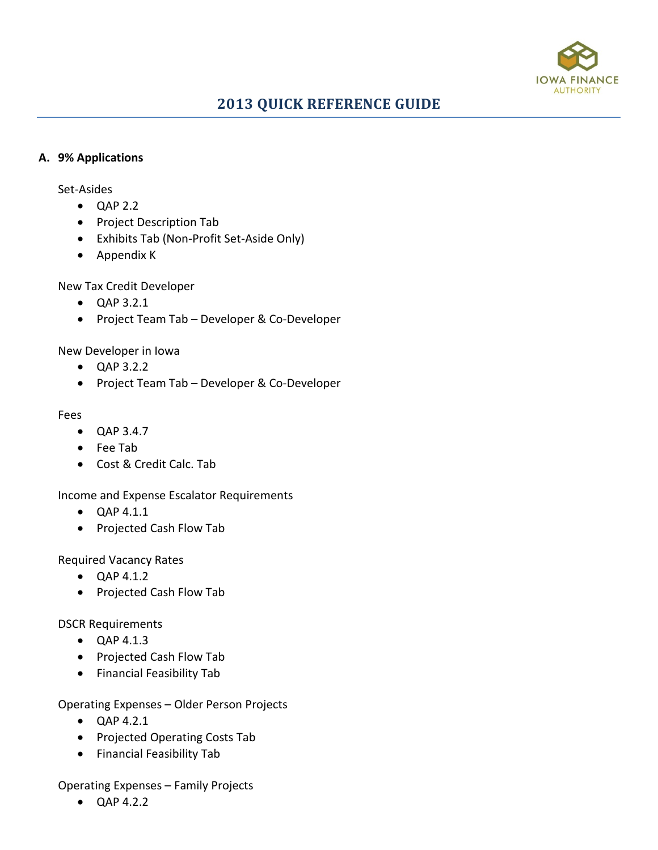

#### **A. 9% Applications**

Set-Asides

- QAP 2.2
- Project Description Tab
- Exhibits Tab (Non-Profit Set-Aside Only)
- Appendix K

New Tax Credit Developer

- QAP 3.2.1
- Project Team Tab Developer & Co-Developer

#### New Developer in Iowa

- QAP 3.2.2
- Project Team Tab Developer & Co-Developer

#### Fees

- QAP 3.4.7
- Fee Tab
- Cost & Credit Calc. Tab

Income and Expense Escalator Requirements

- QAP 4.1.1
- Projected Cash Flow Tab

Required Vacancy Rates

- QAP 4.1.2
- Projected Cash Flow Tab

DSCR Requirements

- QAP 4.1.3
- Projected Cash Flow Tab
- Financial Feasibility Tab

Operating Expenses – Older Person Projects

- QAP 4.2.1
- Projected Operating Costs Tab
- Financial Feasibility Tab

Operating Expenses – Family Projects

• QAP 4.2.2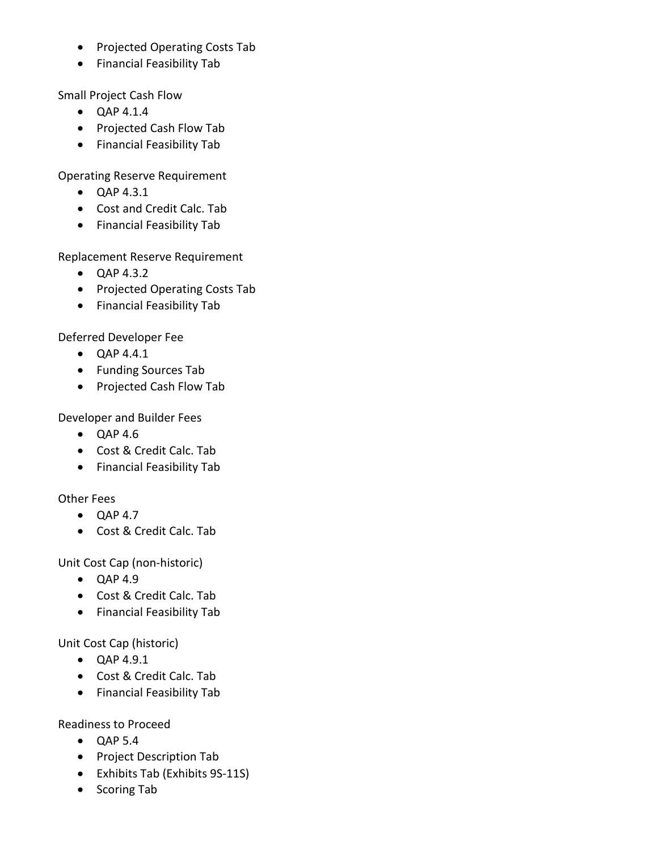- Projected Operating Costs Tab
- Financial Feasibility Tab

Small Project Cash Flow

- QAP 4.1.4
- Projected Cash Flow Tab
- Financial Feasibility Tab

Operating Reserve Requirement

- QAP 4.3.1
- Cost and Credit Calc. Tab
- Financial Feasibility Tab

Replacement Reserve Requirement

- QAP 4.3.2
- Projected Operating Costs Tab
- Financial Feasibility Tab

Deferred Developer Fee

- QAP 4.4.1
- Funding Sources Tab
- Projected Cash Flow Tab

Developer and Builder Fees

- QAP 4.6
- Cost & Credit Calc. Tab
- Financial Feasibility Tab

Other Fees

- QAP 4.7
- Cost & Credit Calc. Tab

Unit Cost Cap (non-historic)

- QAP 4.9
- Cost & Credit Calc. Tab
- Financial Feasibility Tab

Unit Cost Cap (historic)

- QAP 4.9.1
- Cost & Credit Calc. Tab
- Financial Feasibility Tab

Readiness to Proceed

- QAP 5.4
- Project Description Tab
- Exhibits Tab (Exhibits 9S-11S)
- Scoring Tab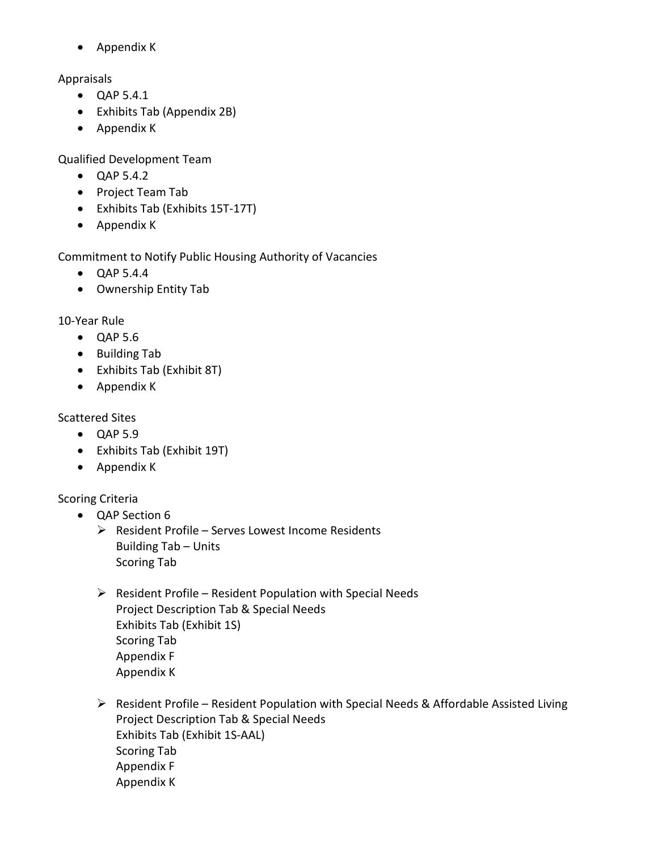• Appendix K

# Appraisals

- QAP 5.4.1
- Exhibits Tab (Appendix 2B)
- Appendix K

Qualified Development Team

- QAP 5.4.2
- Project Team Tab
- Exhibits Tab (Exhibits 15T-17T)
- Appendix K

Commitment to Notify Public Housing Authority of Vacancies

- QAP 5.4.4
- Ownership Entity Tab

10-Year Rule

- QAP 5.6
- Building Tab
- Exhibits Tab (Exhibit 8T)
- Appendix K

Scattered Sites

- QAP 5.9
- Exhibits Tab (Exhibit 19T)
- Appendix K

Scoring Criteria

- QAP Section 6
	- $\triangleright$  Resident Profile Serves Lowest Income Residents Building Tab – Units Scoring Tab
	- $\triangleright$  Resident Profile Resident Population with Special Needs Project Description Tab & Special Needs Exhibits Tab (Exhibit 1S) Scoring Tab Appendix F Appendix K
	- $\triangleright$  Resident Profile Resident Population with Special Needs & Affordable Assisted Living Project Description Tab & Special Needs Exhibits Tab (Exhibit 1S-AAL) Scoring Tab Appendix F Appendix K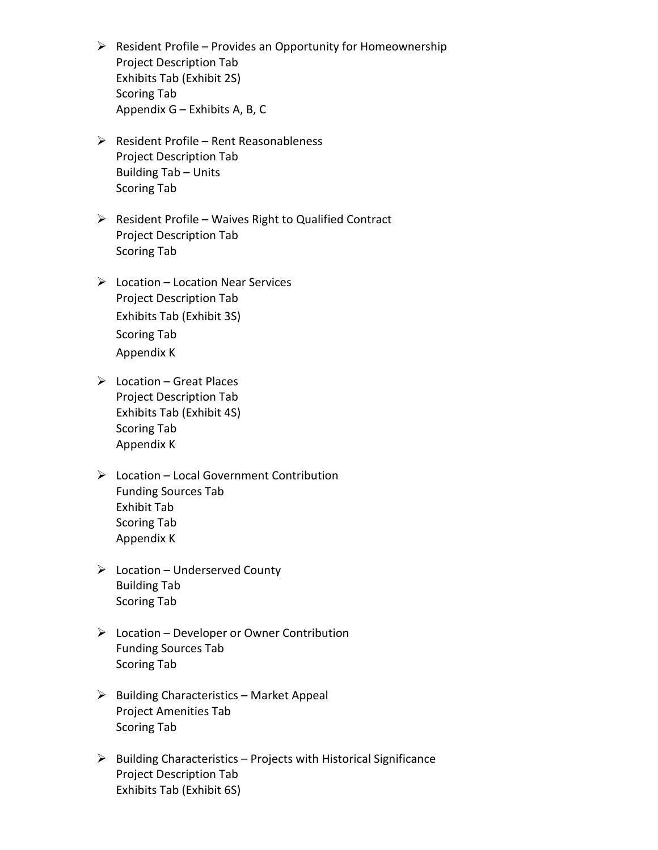- $\triangleright$  Resident Profile Provides an Opportunity for Homeownership Project Description Tab Exhibits Tab (Exhibit 2S) Scoring Tab Appendix G – Exhibits A, B, C
- $\triangleright$  Resident Profile Rent Reasonableness Project Description Tab Building Tab – Units Scoring Tab
- $\triangleright$  Resident Profile Waives Right to Qualified Contract Project Description Tab Scoring Tab
- $\triangleright$  Location Location Near Services Project Description Tab Exhibits Tab (Exhibit 3S) Scoring Tab Appendix K
- $\triangleright$  Location Great Places Project Description Tab Exhibits Tab (Exhibit 4S) Scoring Tab Appendix K
- $\triangleright$  Location Local Government Contribution Funding Sources Tab Exhibit Tab Scoring Tab Appendix K
- $\triangleright$  Location Underserved County Building Tab Scoring Tab
- $\triangleright$  Location Developer or Owner Contribution Funding Sources Tab Scoring Tab
- $\triangleright$  Building Characteristics Market Appeal Project Amenities Tab Scoring Tab
- $\triangleright$  Building Characteristics Projects with Historical Significance Project Description Tab Exhibits Tab (Exhibit 6S)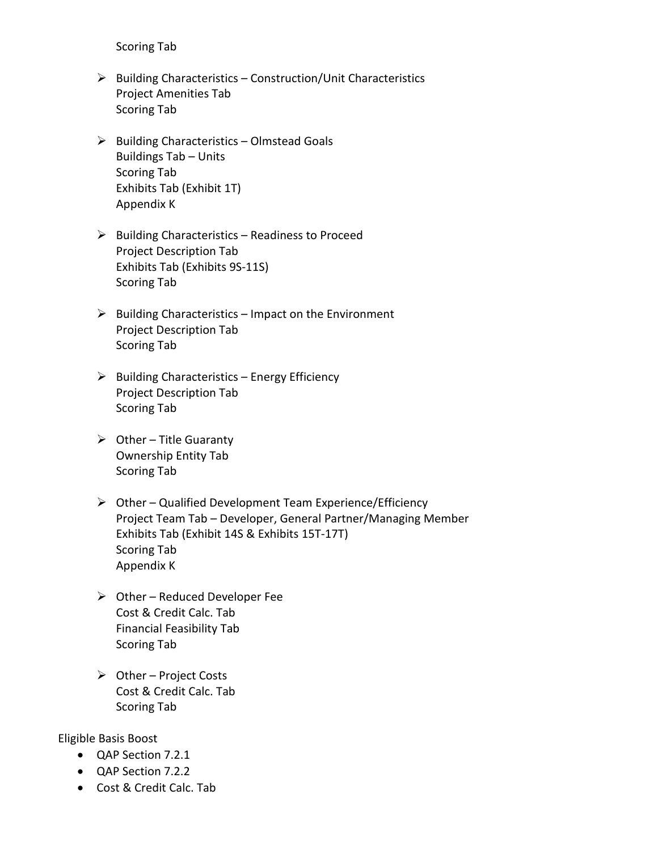Scoring Tab

- $\triangleright$  Building Characteristics Construction/Unit Characteristics Project Amenities Tab Scoring Tab
- $\triangleright$  Building Characteristics Olmstead Goals Buildings Tab – Units Scoring Tab Exhibits Tab (Exhibit 1T) Appendix K
- $\triangleright$  Building Characteristics Readiness to Proceed Project Description Tab Exhibits Tab (Exhibits 9S-11S) Scoring Tab
- $\triangleright$  Building Characteristics Impact on the Environment Project Description Tab Scoring Tab
- $\triangleright$  Building Characteristics Energy Efficiency Project Description Tab Scoring Tab
- $\triangleright$  Other Title Guaranty Ownership Entity Tab Scoring Tab
- $\triangleright$  Other Qualified Development Team Experience/Efficiency Project Team Tab – Developer, General Partner/Managing Member Exhibits Tab (Exhibit 14S & Exhibits 15T-17T) Scoring Tab Appendix K
- $\triangleright$  Other Reduced Developer Fee Cost & Credit Calc. Tab Financial Feasibility Tab Scoring Tab
- $\triangleright$  Other Project Costs Cost & Credit Calc. Tab Scoring Tab

Eligible Basis Boost

- QAP Section 7.2.1
- QAP Section 7.2.2
- Cost & Credit Calc. Tab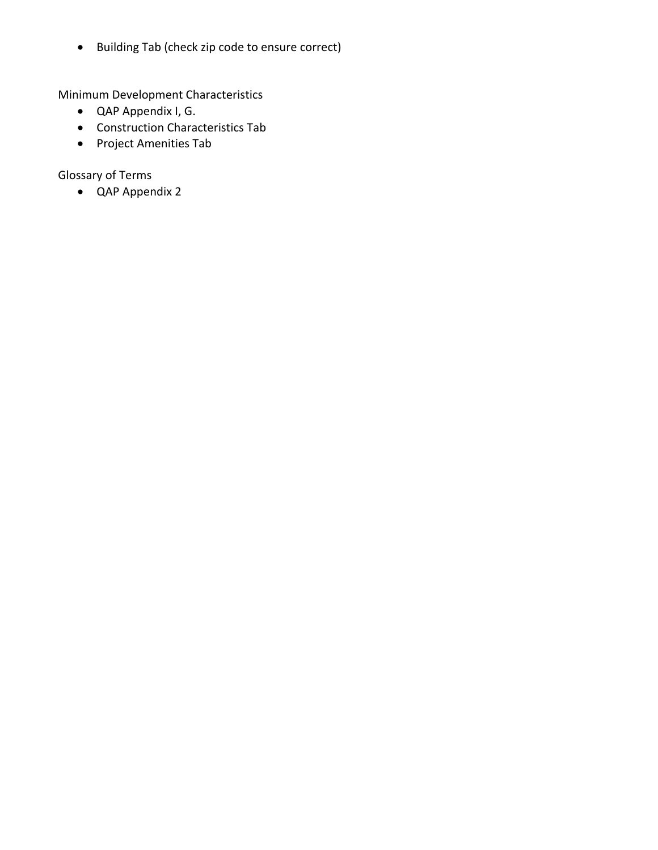• Building Tab (check zip code to ensure correct)

Minimum Development Characteristics

- QAP Appendix I, G.
- Construction Characteristics Tab
- Project Amenities Tab

Glossary of Terms

• QAP Appendix 2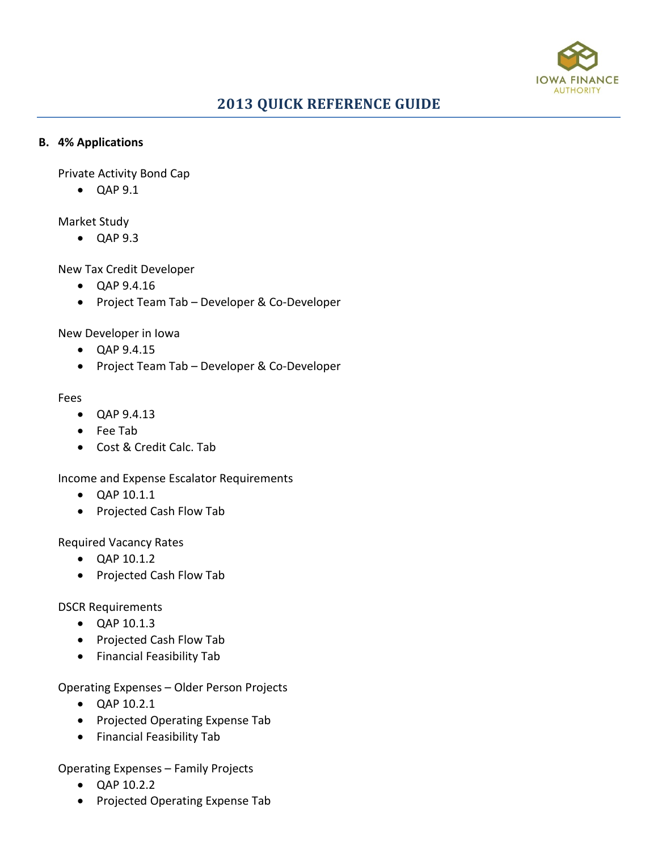

# **2013 QUICK REFERENCE GUIDE**

#### **B. 4% Applications**

Private Activity Bond Cap

• QAP 9.1

Market Study

• QAP 9.3

New Tax Credit Developer

- QAP 9.4.16
- Project Team Tab Developer & Co-Developer

New Developer in Iowa

- QAP 9.4.15
- Project Team Tab Developer & Co-Developer

#### Fees

- QAP 9.4.13
- Fee Tab
- Cost & Credit Calc. Tab

Income and Expense Escalator Requirements

- QAP 10.1.1
- Projected Cash Flow Tab

Required Vacancy Rates

- QAP 10.1.2
- Projected Cash Flow Tab

DSCR Requirements

- QAP 10.1.3
- Projected Cash Flow Tab
- Financial Feasibility Tab

Operating Expenses – Older Person Projects

- QAP 10.2.1
- Projected Operating Expense Tab
- Financial Feasibility Tab

Operating Expenses – Family Projects

- QAP 10.2.2
- Projected Operating Expense Tab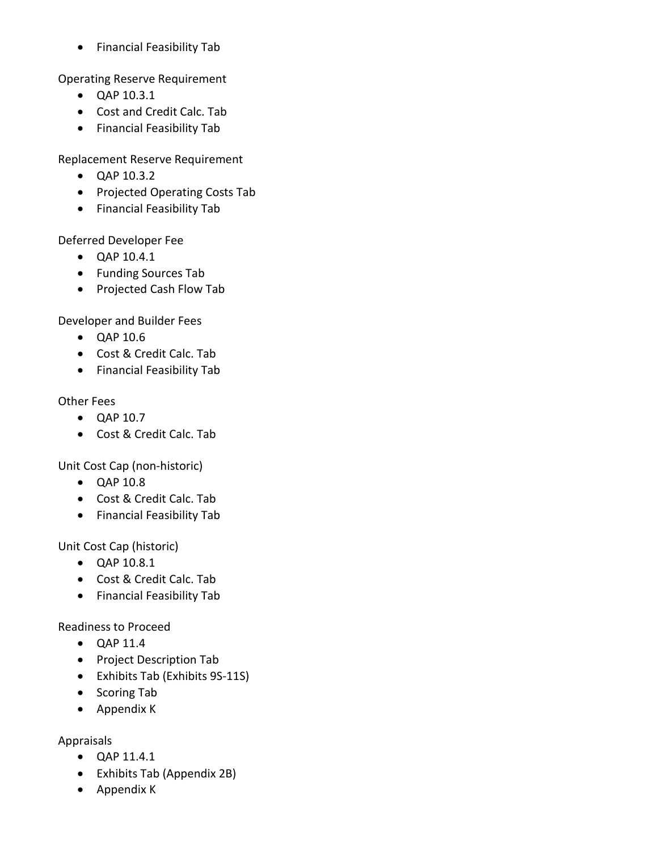• Financial Feasibility Tab

Operating Reserve Requirement

- QAP 10.3.1
- Cost and Credit Calc. Tab
- Financial Feasibility Tab

Replacement Reserve Requirement

- QAP 10.3.2
- Projected Operating Costs Tab
- Financial Feasibility Tab

Deferred Developer Fee

- QAP 10.4.1
- Funding Sources Tab
- Projected Cash Flow Tab

Developer and Builder Fees

- QAP 10.6
- Cost & Credit Calc. Tab
- Financial Feasibility Tab

# Other Fees

- QAP 10.7
- Cost & Credit Calc. Tab

Unit Cost Cap (non-historic)

- QAP 10.8
- Cost & Credit Calc. Tab
- Financial Feasibility Tab

# Unit Cost Cap (historic)

- QAP 10.8.1
- Cost & Credit Calc. Tab
- Financial Feasibility Tab

# Readiness to Proceed

- QAP 11.4
- Project Description Tab
- Exhibits Tab (Exhibits 9S-11S)
- Scoring Tab
- Appendix K

# Appraisals

- QAP 11.4.1
- Exhibits Tab (Appendix 2B)
- Appendix K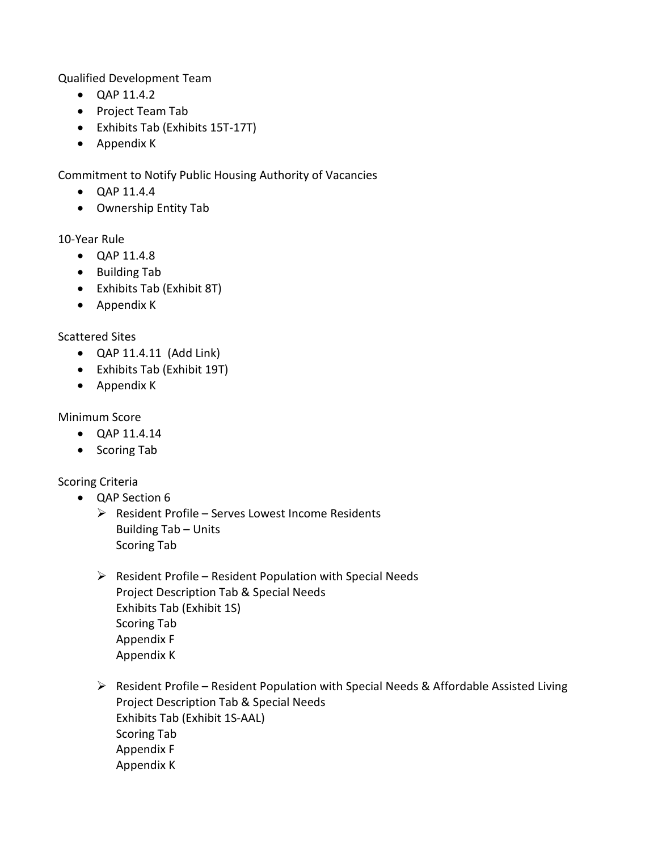Qualified Development Team

- QAP 11.4.2
- Project Team Tab
- Exhibits Tab (Exhibits 15T-17T)
- Appendix K

Commitment to Notify Public Housing Authority of Vacancies

- QAP 11.4.4
- Ownership Entity Tab

# 10-Year Rule

- QAP 11.4.8
- Building Tab
- Exhibits Tab (Exhibit 8T)
- Appendix K

# Scattered Sites

- QAP 11.4.11 (Add Link)
- Exhibits Tab (Exhibit 19T)
- Appendix K

#### Minimum Score

- QAP 11.4.14
- Scoring Tab

# Scoring Criteria

- QAP Section 6
	- $\triangleright$  Resident Profile Serves Lowest Income Residents Building Tab – Units Scoring Tab
	- $\triangleright$  Resident Profile Resident Population with Special Needs Project Description Tab & Special Needs Exhibits Tab (Exhibit 1S) Scoring Tab Appendix F Appendix K
	- $\triangleright$  Resident Profile Resident Population with Special Needs & Affordable Assisted Living Project Description Tab & Special Needs Exhibits Tab (Exhibit 1S-AAL) Scoring Tab Appendix F Appendix K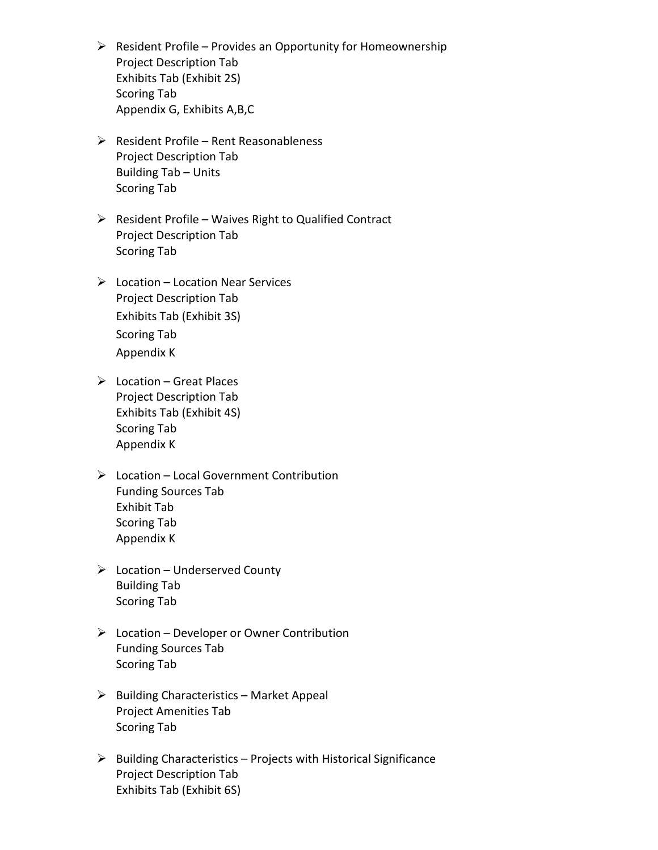- $\triangleright$  Resident Profile Provides an Opportunity for Homeownership Project Description Tab Exhibits Tab (Exhibit 2S) Scoring Tab Appendix G, Exhibits A,B,C
- $\triangleright$  Resident Profile Rent Reasonableness Project Description Tab Building Tab – Units Scoring Tab
- $\triangleright$  Resident Profile Waives Right to Qualified Contract Project Description Tab Scoring Tab
- $\triangleright$  Location Location Near Services Project Description Tab Exhibits Tab (Exhibit 3S) Scoring Tab Appendix K
- $\triangleright$  Location Great Places Project Description Tab Exhibits Tab (Exhibit 4S) Scoring Tab Appendix K
- $\triangleright$  Location Local Government Contribution Funding Sources Tab Exhibit Tab Scoring Tab Appendix K
- $\triangleright$  Location Underserved County Building Tab Scoring Tab
- $\triangleright$  Location Developer or Owner Contribution Funding Sources Tab Scoring Tab
- $\triangleright$  Building Characteristics Market Appeal Project Amenities Tab Scoring Tab
- $\triangleright$  Building Characteristics Projects with Historical Significance Project Description Tab Exhibits Tab (Exhibit 6S)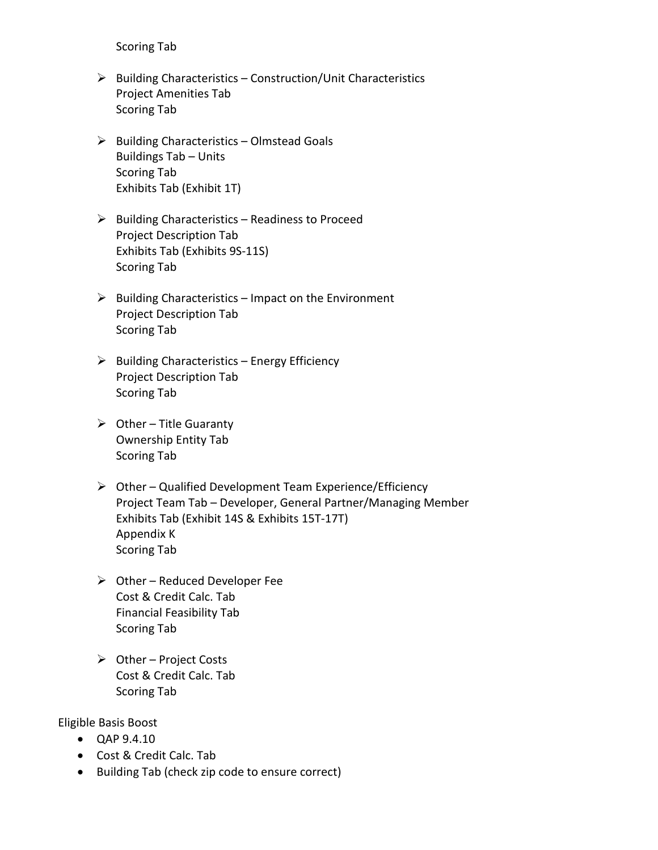Scoring Tab

- $\triangleright$  Building Characteristics Construction/Unit Characteristics Project Amenities Tab Scoring Tab
- $\triangleright$  Building Characteristics Olmstead Goals Buildings Tab – Units Scoring Tab Exhibits Tab (Exhibit 1T)
- $\triangleright$  Building Characteristics Readiness to Proceed Project Description Tab Exhibits Tab (Exhibits 9S-11S) Scoring Tab
- $\triangleright$  Building Characteristics Impact on the Environment Project Description Tab Scoring Tab
- $\triangleright$  Building Characteristics Energy Efficiency Project Description Tab Scoring Tab
- $\triangleright$  Other Title Guaranty Ownership Entity Tab Scoring Tab
- $\triangleright$  Other Qualified Development Team Experience/Efficiency Project Team Tab – Developer, General Partner/Managing Member Exhibits Tab (Exhibit 14S & Exhibits 15T-17T) Appendix K Scoring Tab
- $\triangleright$  Other Reduced Developer Fee Cost & Credit Calc. Tab Financial Feasibility Tab Scoring Tab
- $\triangleright$  Other Project Costs Cost & Credit Calc. Tab Scoring Tab

Eligible Basis Boost

- QAP 9.4.10
- Cost & Credit Calc. Tab
- Building Tab (check zip code to ensure correct)